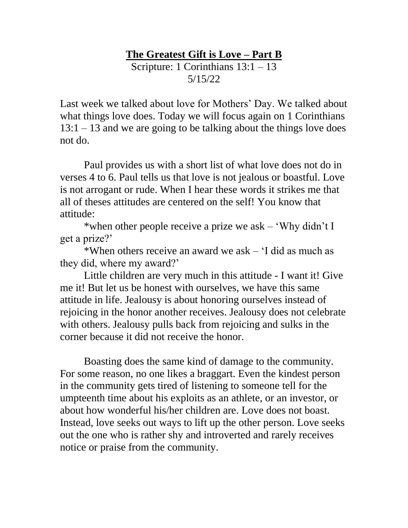## **The Greatest Gift is Love – Part B**  Scripture: 1 Corinthians 13:1 – 13 5/15/22

Last week we talked about love for Mothers' Day. We talked about what things love does. Today we will focus again on 1 Corinthians  $13:1 - 13$  and we are going to be talking about the things love does not do.

Paul provides us with a short list of what love does not do in verses 4 to 6. Paul tells us that love is not jealous or boastful. Love is not arrogant or rude. When I hear these words it strikes me that all of theses attitudes are centered on the self! You know that attitude:

\*when other people receive a prize we ask – 'Why didn't I get a prize?'

\*When others receive an award we ask – 'I did as much as they did, where my award?'

Little children are very much in this attitude - I want it! Give me it! But let us be honest with ourselves, we have this same attitude in life. Jealousy is about honoring ourselves instead of rejoicing in the honor another receives. Jealousy does not celebrate with others. Jealousy pulls back from rejoicing and sulks in the corner because it did not receive the honor.

Boasting does the same kind of damage to the community. For some reason, no one likes a braggart. Even the kindest person in the community gets tired of listening to someone tell for the umpteenth time about his exploits as an athlete, or an investor, or about how wonderful his/her children are. Love does not boast. Instead, love seeks out ways to lift up the other person. Love seeks out the one who is rather shy and introverted and rarely receives notice or praise from the community.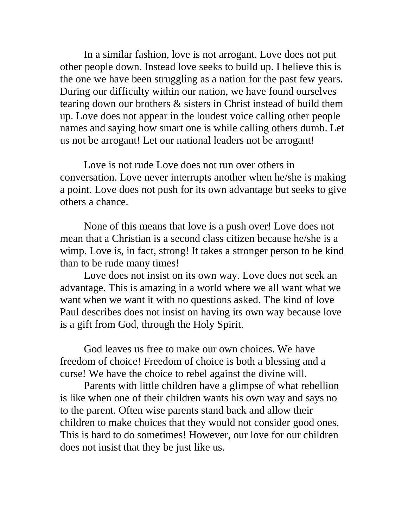In a similar fashion, love is not arrogant. Love does not put other people down. Instead love seeks to build up. I believe this is the one we have been struggling as a nation for the past few years. During our difficulty within our nation, we have found ourselves tearing down our brothers & sisters in Christ instead of build them up. Love does not appear in the loudest voice calling other people names and saying how smart one is while calling others dumb. Let us not be arrogant! Let our national leaders not be arrogant!

Love is not rude Love does not run over others in conversation. Love never interrupts another when he/she is making a point. Love does not push for its own advantage but seeks to give others a chance.

None of this means that love is a push over! Love does not mean that a Christian is a second class citizen because he/she is a wimp. Love is, in fact, strong! It takes a stronger person to be kind than to be rude many times!

Love does not insist on its own way. Love does not seek an advantage. This is amazing in a world where we all want what we want when we want it with no questions asked. The kind of love Paul describes does not insist on having its own way because love is a gift from God, through the Holy Spirit.

God leaves us free to make our own choices. We have freedom of choice! Freedom of choice is both a blessing and a curse! We have the choice to rebel against the divine will.

Parents with little children have a glimpse of what rebellion is like when one of their children wants his own way and says no to the parent. Often wise parents stand back and allow their children to make choices that they would not consider good ones. This is hard to do sometimes! However, our love for our children does not insist that they be just like us.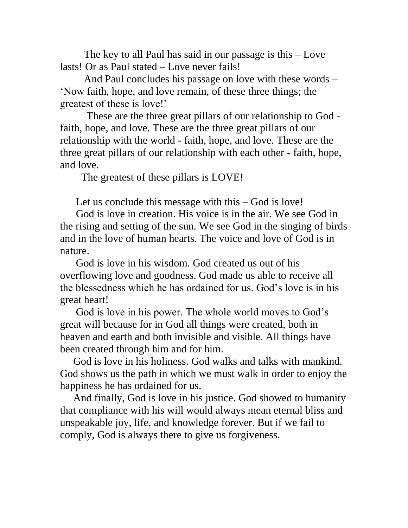The key to all Paul has said in our passage is this – Love lasts! Or as Paul stated – Love never fails!

And Paul concludes his passage on love with these words – 'Now faith, hope, and love remain, of these three things; the greatest of these is love!'

 These are the three great pillars of our relationship to God faith, hope, and love. These are the three great pillars of our relationship with the world - faith, hope, and love. These are the three great pillars of our relationship with each other - faith, hope, and love.

The greatest of these pillars is LOVE!

Let us conclude this message with this – God is love!

 God is love in creation. His voice is in the air. We see God in the rising and setting of the sun. We see God in the singing of birds and in the love of human hearts. The voice and love of God is in nature.

 God is love in his wisdom. God created us out of his overflowing love and goodness. God made us able to receive all the blessedness which he has ordained for us. God's love is in his great heart!

 God is love in his power. The whole world moves to God's great will because for in God all things were created, both in heaven and earth and both invisible and visible. All things have been created through him and for him.

 God is love in his holiness. God walks and talks with mankind. God shows us the path in which we must walk in order to enjoy the happiness he has ordained for us.

 And finally, God is love in his justice. God showed to humanity that compliance with his will would always mean eternal bliss and unspeakable joy, life, and knowledge forever. But if we fail to comply, God is always there to give us forgiveness.